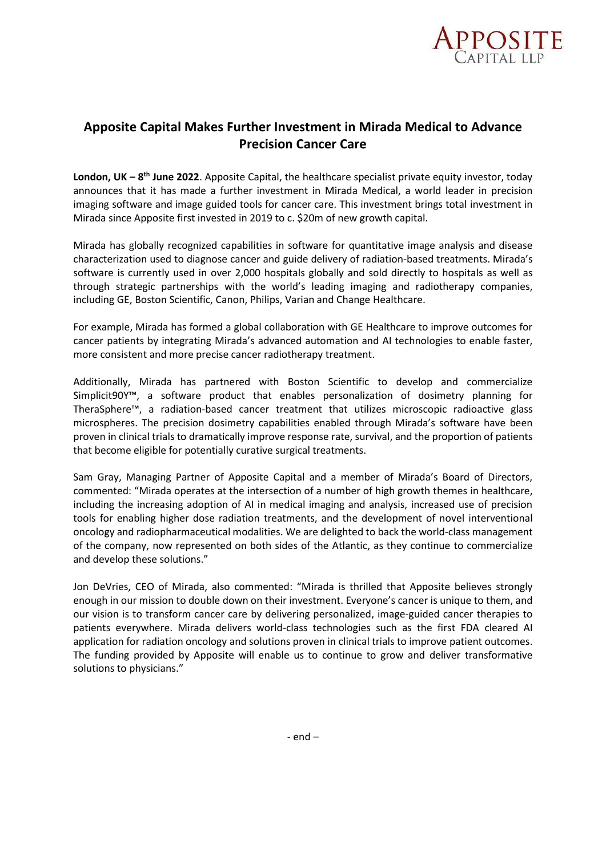

## **Apposite Capital Makes Further Investment in Mirada Medical to Advance Precision Cancer Care**

**London, UK – 8<sup>th</sup> June 2022**. Apposite Capital, the healthcare specialist private equity investor, today announces that it has made a further investment in Mirada Medical, a world leader in precision imaging software and image guided tools for cancer care. This investment brings total investment in Mirada since Apposite first invested in 2019 to c. \$20m of new growth capital.

Mirada has globally recognized capabilities in software for quantitative image analysis and disease characterization used to diagnose cancer and guide delivery of radiation-based treatments. Mirada's software is currently used in over 2,000 hospitals globally and sold directly to hospitals as well as through strategic partnerships with the world's leading imaging and radiotherapy companies, including GE, Boston Scientific, Canon, Philips, Varian and Change Healthcare.

For example, Mirada has formed a global collaboration with GE Healthcare to improve outcomes for cancer patients by integrating Mirada's advanced automation and AI technologies to enable faster, more consistent and more precise cancer radiotherapy treatment.

Additionally, Mirada has partnered with Boston Scientific to develop and commercialize Simplicit90Y™, a software product that enables personalization of dosimetry planning for TheraSphere™, a radiation-based cancer treatment that utilizes microscopic radioactive glass microspheres. The precision dosimetry capabilities enabled through Mirada's software have been proven in clinical trials to dramatically improve response rate, survival, and the proportion of patients that become eligible for potentially curative surgical treatments.

Sam Gray, Managing Partner of Apposite Capital and a member of Mirada's Board of Directors, commented: "Mirada operates at the intersection of a number of high growth themes in healthcare, including the increasing adoption of AI in medical imaging and analysis, increased use of precision tools for enabling higher dose radiation treatments, and the development of novel interventional oncology and radiopharmaceutical modalities. We are delighted to back the world-class management of the company, now represented on both sides of the Atlantic, as they continue to commercialize and develop these solutions."

Jon DeVries, CEO of Mirada, also commented: "Mirada is thrilled that Apposite believes strongly enough in our mission to double down on their investment. Everyone's cancer is unique to them, and our vision is to transform cancer care by delivering personalized, image-guided cancer therapies to patients everywhere. Mirada delivers world-class technologies such as the first FDA cleared AI application for radiation oncology and solutions proven in clinical trials to improve patient outcomes. The funding provided by Apposite will enable us to continue to grow and deliver transformative solutions to physicians."